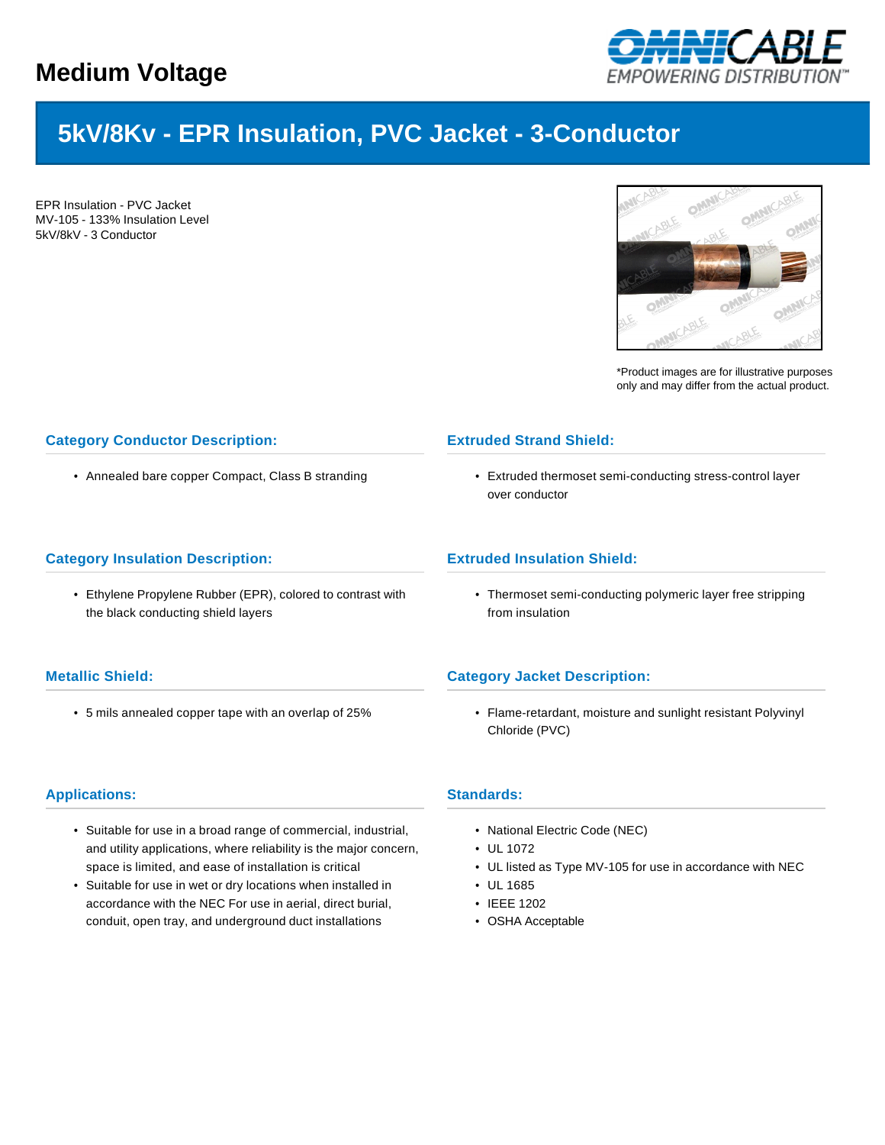

# **5kV/8Kv - EPR Insulation, PVC Jacket - 3-Conductor**

EPR Insulation - PVC Jacket MV-105 - 133% Insulation Level 5kV/8kV - 3 Conductor



\*Product images are for illustrative purposes only and may differ from the actual product.

# **Category Conductor Description:**

• Annealed bare copper Compact, Class B stranding

#### **Category Insulation Description:**

• Ethylene Propylene Rubber (EPR), colored to contrast with the black conducting shield layers

## **Metallic Shield:**

• 5 mils annealed copper tape with an overlap of 25%

### **Applications:**

- Suitable for use in a broad range of commercial, industrial, and utility applications, where reliability is the major concern, space is limited, and ease of installation is critical
- Suitable for use in wet or dry locations when installed in accordance with the NEC For use in aerial, direct burial, conduit, open tray, and underground duct installations

### **Extruded Strand Shield:**

• Extruded thermoset semi-conducting stress-control layer over conductor

#### **Extruded Insulation Shield:**

• Thermoset semi-conducting polymeric layer free stripping from insulation

#### **Category Jacket Description:**

• Flame-retardant, moisture and sunlight resistant Polyvinyl Chloride (PVC)

### **Standards:**

- National Electric Code (NEC)
- UL 1072
- UL listed as Type MV-105 for use in accordance with NEC
- UL 1685
- IEEE 1202
- OSHA Acceptable